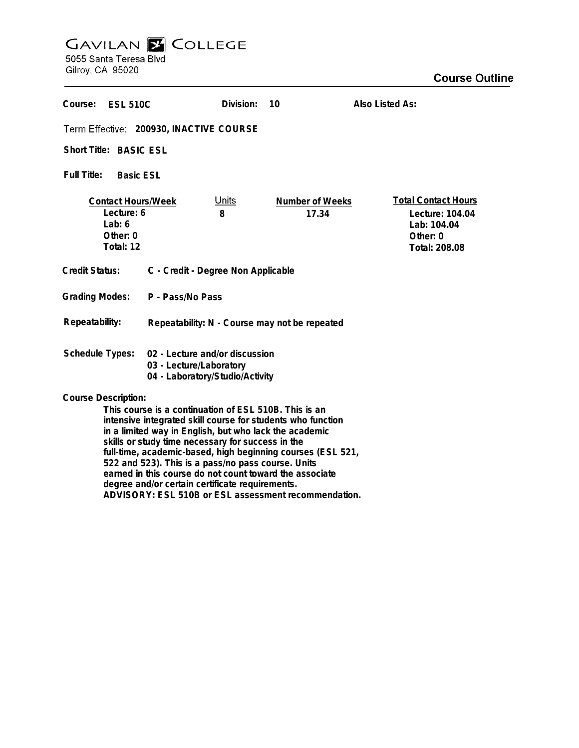# **GAVILAN E COLLEGE**<br>5055 Santa Teresa Blvd

Gilroy, CA 95020

| Course: ESL 510C                                                                                                                                                                                                                                                                                                                                                                       |                                                                                              | Division:         | 10                       | Also Listed As:                                                                           |
|----------------------------------------------------------------------------------------------------------------------------------------------------------------------------------------------------------------------------------------------------------------------------------------------------------------------------------------------------------------------------------------|----------------------------------------------------------------------------------------------|-------------------|--------------------------|-------------------------------------------------------------------------------------------|
| Term Effective: 200930, INACTIVE COURSE                                                                                                                                                                                                                                                                                                                                                |                                                                                              |                   |                          |                                                                                           |
| Short Title: BASIC ESL                                                                                                                                                                                                                                                                                                                                                                 |                                                                                              |                   |                          |                                                                                           |
| Full Title:<br><b>Basic ESL</b>                                                                                                                                                                                                                                                                                                                                                        |                                                                                              |                   |                          |                                                                                           |
| <b>Contact Hours/Week</b><br>Lecture: 6<br>Lab: $6$<br>Other: 0<br>Total: 12                                                                                                                                                                                                                                                                                                           |                                                                                              | <u>Units</u><br>8 | Number of Weeks<br>17.34 | <b>Total Contact Hours</b><br>Lecture: 104.04<br>Lab: 104.04<br>Other: 0<br>Total: 208.08 |
| Credit Status:                                                                                                                                                                                                                                                                                                                                                                         | C - Credit - Degree Non Applicable                                                           |                   |                          |                                                                                           |
| <b>Grading Modes:</b>                                                                                                                                                                                                                                                                                                                                                                  | P - Pass/No Pass                                                                             |                   |                          |                                                                                           |
| Repeatability:                                                                                                                                                                                                                                                                                                                                                                         | Repeatability: N - Course may not be repeated                                                |                   |                          |                                                                                           |
| <b>Schedule Types:</b>                                                                                                                                                                                                                                                                                                                                                                 | 02 - Lecture and/or discussion<br>03 - Lecture/Laboratory<br>04 - Laboratory/Studio/Activity |                   |                          |                                                                                           |
| <b>Course Description:</b><br>This course is a continuation of ESL 510B. This is an<br>intensive integrated skill course for students who function<br>in a limited way in English, but who lack the academic<br>skills or study time necessary for success in the<br>full-time, academic-based, high beginning courses (ESL 521,<br>522 and 523). This is a pass/no pass course. Units |                                                                                              |                   |                          |                                                                                           |

**earned in this course do not count toward the associate degree and/or certain certificate requirements.**

**ADVISORY: ESL 510B or ESL assessment recommendation.**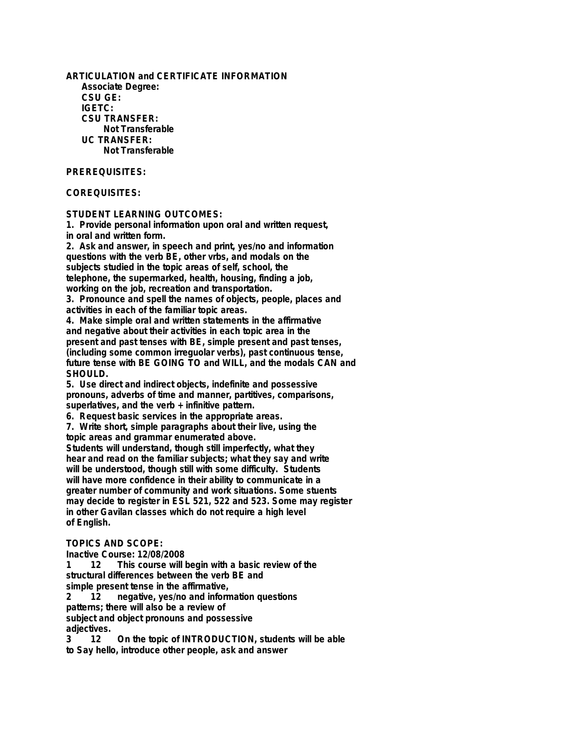**ARTICULATION and CERTIFICATE INFORMATION Associate Degree: CSU GE: IGETC: CSU TRANSFER: Not Transferable UC TRANSFER: Not Transferable**

## **PREREQUISITES:**

## **COREQUISITES:**

#### **STUDENT LEARNING OUTCOMES:**

**1. Provide personal information upon oral and written request, in oral and written form.**

**2. Ask and answer, in speech and print, yes/no and information questions with the verb BE, other vrbs, and modals on the subjects studied in the topic areas of self, school, the telephone, the supermarked, health, housing, finding a job, working on the job, recreation and transportation.**

**3. Pronounce and spell the names of objects, people, places and activities in each of the familiar topic areas.**

**4. Make simple oral and written statements in the affirmative and negative about their activities in each topic area in the present and past tenses with BE, simple present and past tenses, (including some common irreguolar verbs), past continuous tense, future tense with BE GOING TO and WILL, and the modals CAN and SHOULD.**

**5. Use direct and indirect objects, indefinite and possessive pronouns, adverbs of time and manner, partitives, comparisons, superlatives, and the verb + infinitive pattern.**

**6. Request basic services in the appropriate areas.**

**7. Write short, simple paragraphs about their live, using the topic areas and grammar enumerated above. Students will understand, though still imperfectly, what they hear and read on the familiar subjects; what they say and write will be understood, though still with some difficulty. Students**

**will have more confidence in their ability to communicate in a greater number of community and work situations. Some stuents may decide to register in ESL 521, 522 and 523. Some may register in other Gavilan classes which do not require a high level of English.**

#### **TOPICS AND SCOPE:**

**Inactive Course: 12/08/2008**

**1 12 This course will begin with a basic review of the structural differences between the verb BE and**

**simple present tense in the affirmative,**

**2 12 negative, yes/no and information questions patterns; there will also be a review of**

**subject and object pronouns and possessive**

**adjectives. 3 12 On the topic of INTRODUCTION, students will be able to Say hello, introduce other people, ask and answer**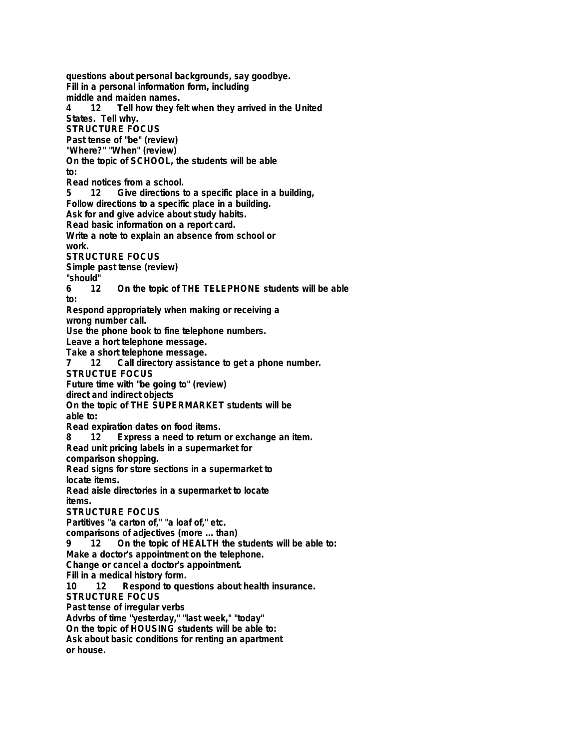**questions about personal backgrounds, say goodbye. Fill in a personal information form, including** middle and maiden names.<br>4 12 Tell how they fe **4 12 Tell how they felt when they arrived in the United States. Tell why. STRUCTURE FOCUS Past tense of "be" (review) "Where?" "When" (review) On the topic of SCHOOL, the students will be able to:** Read notices from a school.<br>5 12 Give directions to **5 12 Give directions to a specific place in a building, Follow directions to a specific place in a building. Ask for and give advice about study habits. Read basic information on a report card. Write a note to explain an absence from school or work. STRUCTURE FOCUS Simple past tense (review) "should" 6 12 On the topic of THE TELEPHONE students will be able to: Respond appropriately when making or receiving a wrong number call. Use the phone book to fine telephone numbers. Leave a hort telephone message. Take a short telephone message. 7 12 Call directory assistance to get a phone number. STRUCTUE FOCUS Future time with "be going to" (review) direct and indirect objects On the topic of THE SUPERMARKET students will be able to: Read expiration dates on food items. 8 12 Express a need to return or exchange an item. Read unit pricing labels in a supermarket for comparison shopping. Read signs for store sections in a supermarket to locate items. Read aisle directories in a supermarket to locate items. STRUCTURE FOCUS Partitives "a carton of," "a loaf of," etc. comparisons of adjectives (more ... than) 9 12 On the topic of HEALTH the students will be able to: Make a doctor's appointment on the telephone. Change or cancel a doctor's appointment. Fill in a medical history form. 10 12 Respond to questions about health insurance. STRUCTURE FOCUS Past tense of irregular verbs Advrbs of time "yesterday," "last week," "today" On the topic of HOUSING students will be able to: Ask about basic conditions for renting an apartment or house.**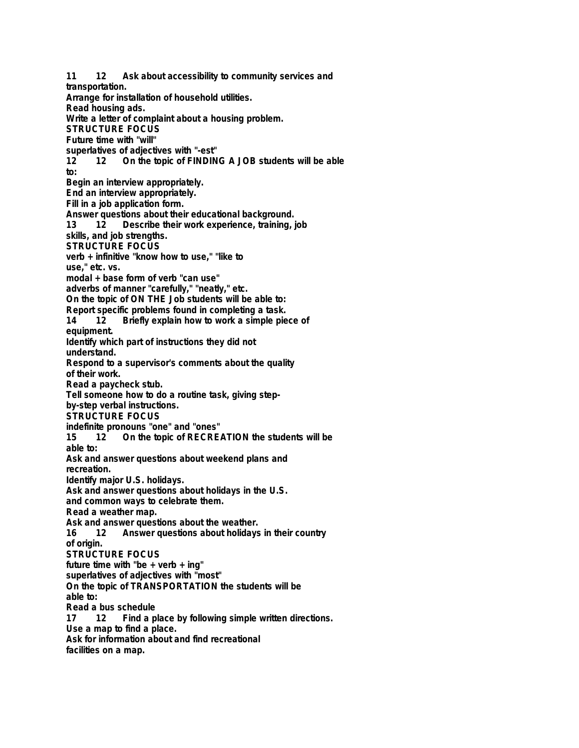**11 12 Ask about accessibility to community services and transportation. Arrange for installation of household utilities. Read housing ads. Write a letter of complaint about a housing problem. STRUCTURE FOCUS Future time with "will" superlatives of adjectives with "-est" 12 12 On the topic of FINDING A JOB students will be able to: Begin an interview appropriately. End an interview appropriately. Fill in a job application form. Answer questions about their educational background.** Describe their work experience, training, job **skills, and job strengths. STRUCTURE FOCUS verb + infinitive "know how to use," "like to use," etc. vs. modal + base form of verb "can use" adverbs of manner "carefully," "neatly," etc. On the topic of ON THE Job students will be able to: Report specific problems found in completing a task. 14 12 Briefly explain how to work a simple piece of equipment. Identify which part of instructions they did not understand. Respond to a supervisor's comments about the quality of their work. Read a paycheck stub. Tell someone how to do a routine task, giving stepby-step verbal instructions. STRUCTURE FOCUS indefinite pronouns "one" and "ones"** 12 On the topic of RECREATION the students will be **able to: Ask and answer questions about weekend plans and recreation. Identify major U.S. holidays. Ask and answer questions about holidays in the U.S. and common ways to celebrate them. Read a weather map. Ask and answer questions about the weather. 16 12 Answer questions about holidays in their country of origin. STRUCTURE FOCUS future time with "be + verb + ing" superlatives of adjectives with "most" On the topic of TRANSPORTATION the students will be able to: Read a bus schedule 17 12 Find a place by following simple written directions. Use a map to find a place. Ask for information about and find recreational facilities on a map.**